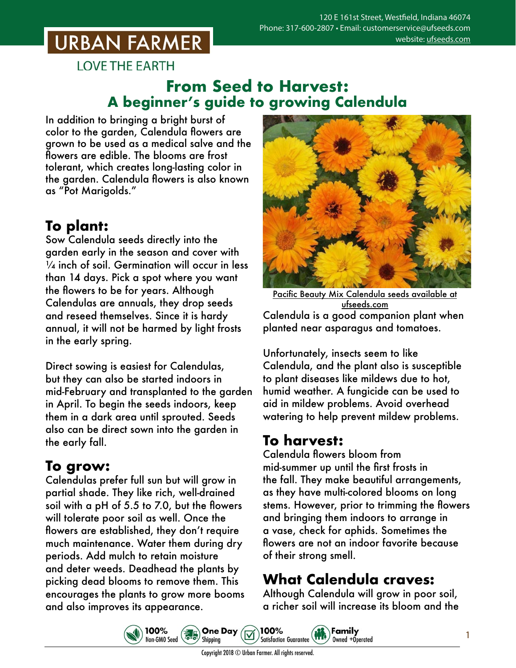# **URBAN FARMER**

**LOVE THE EARTH** 

#### **From Seed to Harvest: A beginner's guide to growing Calendula**

In addition to bringing a bright burst of color to the garden, Calendula flowers are grown to be used as a medical salve and the flowers are edible. The blooms are frost tolerant, which creates long-lasting color in the garden. Calendula flowers is also known as "Pot Marigolds."

### **To plant:**

Sow Calendula seeds directly into the garden early in the season and cover with  $\frac{1}{4}$  inch of soil. Germination will occur in less than 14 days. Pick a spot where you want the flowers to be for years. Although Calendulas are annuals, they drop seeds and reseed themselves. Since it is hardy annual, it will not be harmed by light frosts in the early spring.

Direct sowing is easiest for Calendulas, but they can also be started indoors in mid-February and transplanted to the garden in April. To begin the seeds indoors, keep them in a dark area until sprouted. Seeds also can be direct sown into the garden in the early fall.

#### **To grow:**

Calendulas prefer full sun but will grow in partial shade. They like rich, well-drained soil with a pH of 5.5 to 7.0, but the flowers will tolerate poor soil as well. Once the flowers are established, they don't require much maintenance. Water them during dry periods. Add mulch to retain moisture and deter weeds. Deadhead the plants by picking dead blooms to remove them. This encourages the plants to grow more booms and also improves its appearance.



Pacific Beauty Mix Calendula [seeds available at](https://www.ufseeds.com/product-category/flowers/pacific-beauty-mix-calendulaseeds/) ufseeds.com Calendula is a good companion plant when planted near asparagus and tomatoes.

Unfortunately, insects seem to like Calendula, and the plant also is susceptible to plant diseases like mildews due to hot, humid weather. A fungicide can be used to aid in mildew problems. Avoid overhead watering to help prevent mildew problems.

## **To harvest:**

Calendula flowers bloom from mid-summer up until the first frosts in the fall. They make beautiful arrangements, as they have multi-colored blooms on long stems. However, prior to trimming the flowers and bringing them indoors to arrange in a vase, check for aphids. Sometimes the flowers are not an indoor favorite because of their strong smell.

## **What Calendula craves:**

Family

Owned +Operated

Although Calendula will grow in poor soil, a richer soil will increase its bloom and the